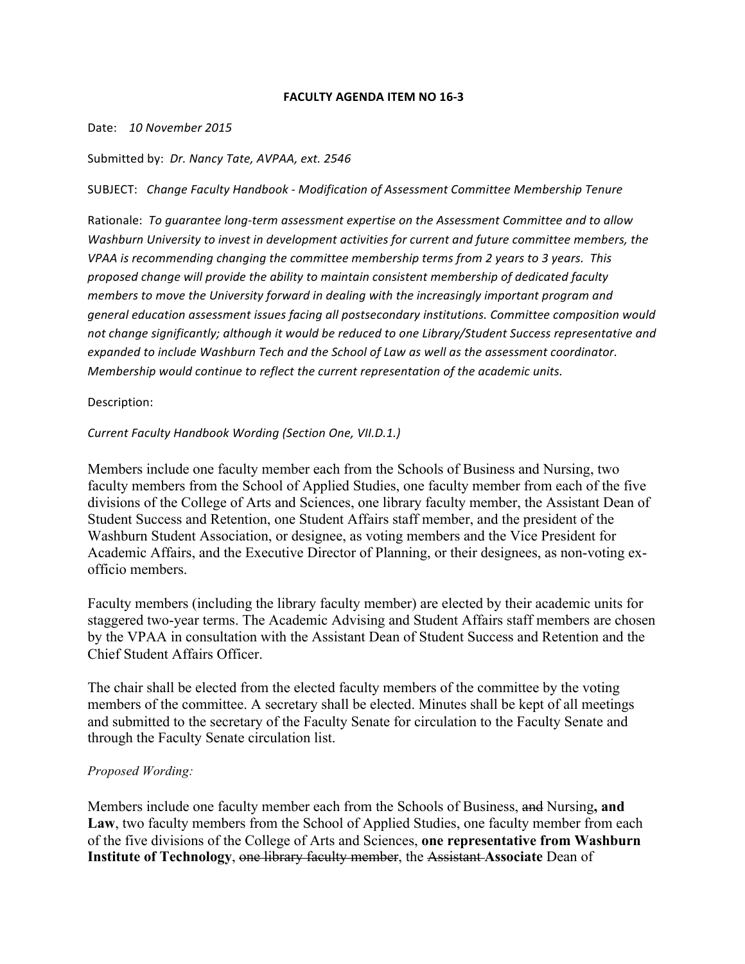## **FACULTY AGENDA ITEM NO 16-3**

#### Date: 10 November 2015

## Submitted by: *Dr. Nancy Tate, AVPAA, ext. 2546*

SUBJECT: *Change Faculty Handbook - Modification of Assessment Committee Membership Tenure*

Rationale: To quarantee long-term assessment expertise on the Assessment Committee and to allow *Washburn University to invest in development activities for current and future committee members, the VPAA* is recommending changing the committee membership terms from 2 years to 3 years. This proposed change will provide the ability to maintain consistent membership of dedicated faculty *members* to move the University forward in dealing with the increasingly important program and general education assessment issues facing all postsecondary institutions. Committee composition would not change significantly; although it would be reduced to one Library/Student Success representative and expanded to include Washburn Tech and the School of Law as well as the assessment coordinator. *Membership* would continue to reflect the current representation of the academic units.

## Description:

## **Current Faculty Handbook Wording (Section One, VII.D.1.)**

Members include one faculty member each from the Schools of Business and Nursing, two faculty members from the School of Applied Studies, one faculty member from each of the five divisions of the College of Arts and Sciences, one library faculty member, the Assistant Dean of Student Success and Retention, one Student Affairs staff member, and the president of the Washburn Student Association, or designee, as voting members and the Vice President for Academic Affairs, and the Executive Director of Planning, or their designees, as non-voting exofficio members.

Faculty members (including the library faculty member) are elected by their academic units for staggered two-year terms. The Academic Advising and Student Affairs staff members are chosen by the VPAA in consultation with the Assistant Dean of Student Success and Retention and the Chief Student Affairs Officer.

The chair shall be elected from the elected faculty members of the committee by the voting members of the committee. A secretary shall be elected. Minutes shall be kept of all meetings and submitted to the secretary of the Faculty Senate for circulation to the Faculty Senate and through the Faculty Senate circulation list.

# *Proposed Wording:*

Members include one faculty member each from the Schools of Business, and Nursing**, and Law**, two faculty members from the School of Applied Studies, one faculty member from each of the five divisions of the College of Arts and Sciences, **one representative from Washburn Institute of Technology**, one library faculty member, the Assistant **Associate** Dean of